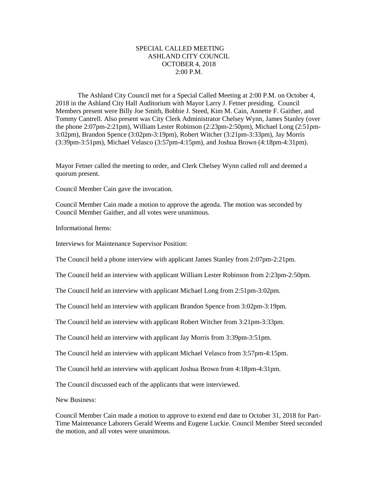## SPECIAL CALLED MEETING ASHLAND CITY COUNCIL OCTOBER 4, 2018 2:00 P.M.

The Ashland City Council met for a Special Called Meeting at 2:00 P.M. on October 4, 2018 in the Ashland City Hall Auditorium with Mayor Larry J. Fetner presiding. Council Members present were Billy Joe Smith, Bobbie J. Steed, Kim M. Cain, Annette F. Gaither, and Tommy Cantrell. Also present was City Clerk Administrator Chelsey Wynn, James Stanley (over the phone 2:07pm-2:21pm), William Lester Robinson (2:23pm-2:50pm), Michael Long (2:51pm-3:02pm), Brandon Spence (3:02pm-3:19pm), Robert Witcher (3:21pm-3:33pm), Jay Morris (3:39pm-3:51pm), Michael Velasco (3:57pm-4:15pm), and Joshua Brown (4:18pm-4:31pm).

Mayor Fetner called the meeting to order, and Clerk Chelsey Wynn called roll and deemed a quorum present.

Council Member Cain gave the invocation.

Council Member Cain made a motion to approve the agenda. The motion was seconded by Council Member Gaither, and all votes were unanimous.

Informational Items:

Interviews for Maintenance Supervisor Position:

The Council held a phone interview with applicant James Stanley from 2:07pm-2:21pm.

The Council held an interview with applicant William Lester Robinson from 2:23pm-2:50pm.

The Council held an interview with applicant Michael Long from 2:51pm-3:02pm.

The Council held an interview with applicant Brandon Spence from 3:02pm-3:19pm.

The Council held an interview with applicant Robert Witcher from 3:21pm-3:33pm.

The Council held an interview with applicant Jay Morris from 3:39pm-3:51pm.

The Council held an interview with applicant Michael Velasco from 3:57pm-4:15pm.

The Council held an interview with applicant Joshua Brown from 4:18pm-4:31pm.

The Council discussed each of the applicants that were interviewed.

New Business:

Council Member Cain made a motion to approve to extend end date to October 31, 2018 for Part-Time Maintenance Laborers Gerald Weems and Eugene Luckie. Council Member Steed seconded the motion, and all votes were unanimous.